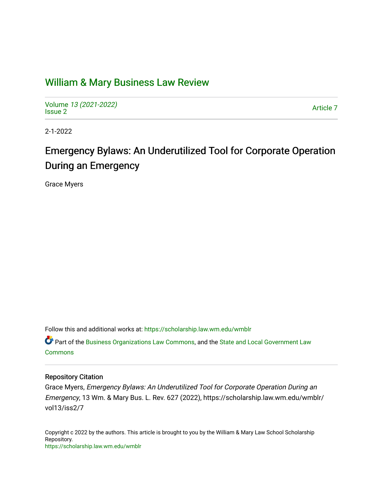# [William & Mary Business Law Review](https://scholarship.law.wm.edu/wmblr)

Volume [13 \(2021-2022\)](https://scholarship.law.wm.edu/wmblr/vol13)  volume 15 (2021-2022)<br>[Issue 2](https://scholarship.law.wm.edu/wmblr/vol13/iss2)

2-1-2022

# Emergency Bylaws: An Underutilized Tool for Corporate Operation During an Emergency

Grace Myers

Follow this and additional works at: [https://scholarship.law.wm.edu/wmblr](https://scholarship.law.wm.edu/wmblr?utm_source=scholarship.law.wm.edu%2Fwmblr%2Fvol13%2Fiss2%2F7&utm_medium=PDF&utm_campaign=PDFCoverPages) 

**Part of the [Business Organizations Law Commons](http://network.bepress.com/hgg/discipline/900?utm_source=scholarship.law.wm.edu%2Fwmblr%2Fvol13%2Fiss2%2F7&utm_medium=PDF&utm_campaign=PDFCoverPages), and the State and Local Government Law** [Commons](http://network.bepress.com/hgg/discipline/879?utm_source=scholarship.law.wm.edu%2Fwmblr%2Fvol13%2Fiss2%2F7&utm_medium=PDF&utm_campaign=PDFCoverPages)

## Repository Citation

Grace Myers, Emergency Bylaws: An Underutilized Tool for Corporate Operation During an Emergency, 13 Wm. & Mary Bus. L. Rev. 627 (2022), https://scholarship.law.wm.edu/wmblr/ vol13/iss2/7

Copyright c 2022 by the authors. This article is brought to you by the William & Mary Law School Scholarship Repository. <https://scholarship.law.wm.edu/wmblr>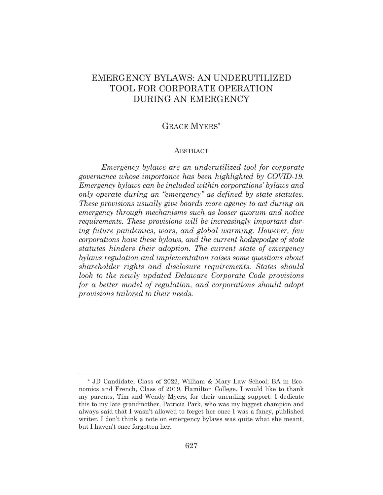# EMERGENCY BYLAWS: AN UNDERUTILIZED TOOL FOR CORPORATE OPERATION DURING AN EMERGENCY

# GRACE MYERS

#### ABSTRACT

*Emergency bylaws are an underutilized tool for corporate governance whose importance has been highlighted by COVID-19. Emergency bylaws can be included within corporations' bylaws and only operate during an "emergency" as defined by state statutes. These provisions usually give boards more agency to act during an emergency through mechanisms such as looser quorum and notice requirements. These provisions will be increasingly important during future pandemics, wars, and global warming. However, few corporations have these bylaws, and the current hodgepodge of state statutes hinders their adoption. The current state of emergency bylaws regulation and implementation raises some questions about shareholder rights and disclosure requirements. States should look to the newly updated Delaware Corporate Code provisions for a better model of regulation, and corporations should adopt provisions tailored to their needs.*

 JD Candidate, Class of 2022, William & Mary Law School; BA in Economics and French, Class of 2019, Hamilton College. I would like to thank my parents, Tim and Wendy Myers, for their unending support. I dedicate this to my late grandmother, Patricia Park, who was my biggest champion and always said that I wasn't allowed to forget her once I was a fancy, published writer. I don't think a note on emergency bylaws was quite what she meant, but I haven't once forgotten her.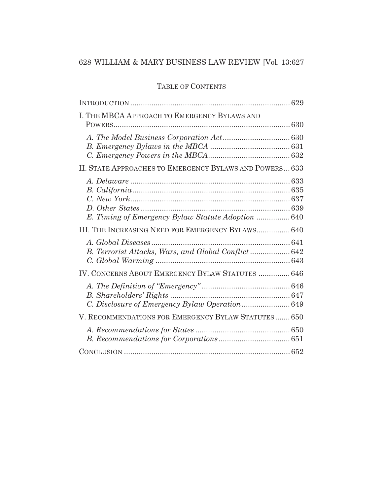# TABLE OF CONTENTS

| I. THE MBCA APPROACH TO EMERGENCY BYLAWS AND            |
|---------------------------------------------------------|
|                                                         |
| II. STATE APPROACHES TO EMERGENCY BYLAWS AND POWERS 633 |
| E. Timing of Emergency Bylaw Statute Adoption  640      |
| III. THE INCREASING NEED FOR EMERGENCY BYLAWS 640       |
| B. Terrorist Attacks, Wars, and Global Conflict  642    |
| IV. CONCERNS ABOUT EMERGENCY BYLAW STATUTES  646        |
| C. Disclosure of Emergency Bylaw Operation 649          |
| V. RECOMMENDATIONS FOR EMERGENCY BYLAW STATUTES 650     |
|                                                         |
|                                                         |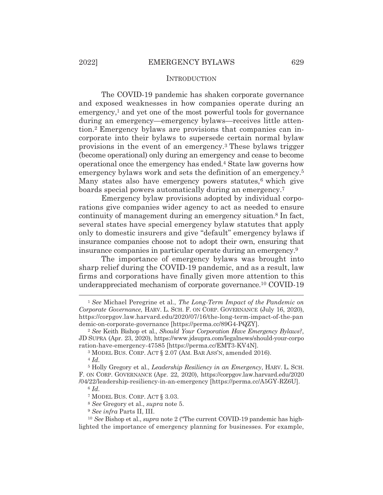### **INTRODUCTION**

The COVID-19 pandemic has shaken corporate governance and exposed weaknesses in how companies operate during an emergency, $<sup>1</sup>$  and yet one of the most powerful tools for governance</sup> during an emergency—emergency bylaws—receives little attention.2 Emergency bylaws are provisions that companies can incorporate into their bylaws to supersede certain normal bylaw provisions in the event of an emergency.3 These bylaws trigger (become operational) only during an emergency and cease to become operational once the emergency has ended.4 State law governs how emergency bylaws work and sets the definition of an emergency.5 Many states also have emergency powers statutes,<sup>6</sup> which give boards special powers automatically during an emergency.7

 Emergency bylaw provisions adopted by individual corporations give companies wider agency to act as needed to ensure continuity of management during an emergency situation.8 In fact, several states have special emergency bylaw statutes that apply only to domestic insurers and give "default" emergency bylaws if insurance companies choose not to adopt their own, ensuring that insurance companies in particular operate during an emergency.9

 The importance of emergency bylaws was brought into sharp relief during the COVID-19 pandemic, and as a result, law firms and corporations have finally given more attention to this underappreciated mechanism of corporate governance.10 COVID-19

<sup>1</sup> *See* Michael Peregrine et al., *The Long-Term Impact of the Pandemic on Corporate Governance*, HARV. L. SCH. F. ON CORP. GOVERNANCE (July 16, 2020), https://corpgov.law.harvard.edu/2020/07/16/the-long-term-impact-of-the-pan demic-on-corporate-governance [https://perma.cc/89G4-PQZY]. 2 *See* Keith Bishop et al., *Should Your Corporation Have Emergency Bylaws?*,

JD SUPRA (Apr. 23, 2020), https://www.jdsupra.com/legalnews/should-your-corpo ration-have-emergency-47585 [https://perma.cc/EMT3-KV4N].

<sup>3</sup> MODEL BUS. CORP. ACT § 2.07 (AM. BAR ASS'N, amended 2016). 4 *Id.*

<sup>5</sup> Holly Gregory et al., *Leadership Resiliency in an Emergency*, HARV. L. SCH. F. ON CORP. GOVERNANCE (Apr. 22, 2020), https://corpgov.law.harvard.edu/2020 /04/22/leadership-resiliency-in-an-emergency [https://perma.cc/A5GY-RZ6U]. <sup>6</sup> *Id.*

<sup>7</sup> MODEL BUS. CORP. ACT § 3.03.

<sup>8</sup> *See* Gregory et al., *supra* note 5.

<sup>9</sup> *See infra* Parts II, III.

<sup>10</sup> *See* Bishop et al., *supra* note 2 ("The current COVID-19 pandemic has highlighted the importance of emergency planning for businesses. For example,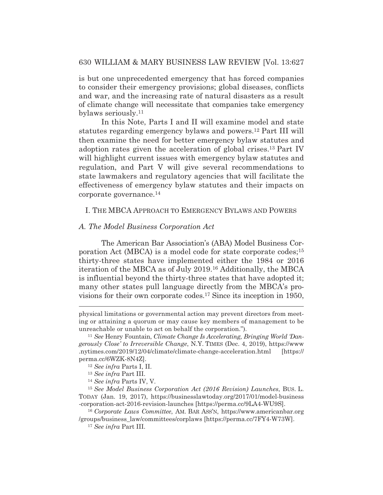is but one unprecedented emergency that has forced companies to consider their emergency provisions; global diseases, conflicts and war, and the increasing rate of natural disasters as a result of climate change will necessitate that companies take emergency bylaws seriously.11

 In this Note, Parts I and II will examine model and state statutes regarding emergency bylaws and powers.12 Part III will then examine the need for better emergency bylaw statutes and adoption rates given the acceleration of global crises.13 Part IV will highlight current issues with emergency bylaw statutes and regulation, and Part V will give several recommendations to state lawmakers and regulatory agencies that will facilitate the effectiveness of emergency bylaw statutes and their impacts on corporate governance.14

# I. THE MBCA APPROACH TO EMERGENCY BYLAWS AND POWERS

#### *A. The Model Business Corporation Act*

 The American Bar Association's (ABA) Model Business Corporation Act (MBCA) is a model code for state corporate codes;15 thirty-three states have implemented either the 1984 or 2016 iteration of the MBCA as of July 2019.16 Additionally, the MBCA is influential beyond the thirty-three states that have adopted it; many other states pull language directly from the MBCA's provisions for their own corporate codes.17 Since its inception in 1950,

physical limitations or governmental action may prevent directors from meeting or attaining a quorum or may cause key members of management to be unreachable or unable to act on behalf the corporation."). 11 *See* Henry Fountain, *Climate Change Is Accelerating, Bringing World 'Dan-*

*gerously Close' to Irreversible Change*, N.Y. TIMES (Dec. 4, 2019), https://www .nytimes.com/2019/12/04/climate/climate-change-acceleration.html [https:// perma.cc/6WZK-8N4Z]. 12 *See infra* Parts I, II.

<sup>13</sup> *See infra* Part III. 14 *See infra* Parts IV, V.

<sup>15</sup> *See Model Business Corporation Act (2016 Revision) Launches*, BUS. L. TODAY (Jan. 19, 2017), https://businesslawtoday.org/2017/01/model-business -corporation-act-2016-revision-launches [https://perma.cc/9LA4-WU9S].

<sup>16</sup> *Corporate Laws Committee*, AM. BAR ASS'N, https://www.americanbar.org /groups/business\_law/committees/corplaws [https://perma.cc/7FY4-W73W].

<sup>17</sup> *See infra* Part III.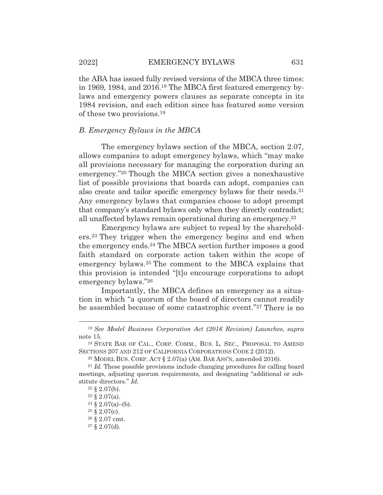the ABA has issued fully revised versions of the MBCA three times: in 1969, 1984, and 2016.18 The MBCA first featured emergency bylaws and emergency powers clauses as separate concepts in its 1984 revision, and each edition since has featured some version of these two provisions.19

#### *B. Emergency Bylaws in the MBCA*

 The emergency bylaws section of the MBCA, section 2.07, allows companies to adopt emergency bylaws, which "may make all provisions necessary for managing the corporation during an emergency."20 Though the MBCA section gives a nonexhaustive list of possible provisions that boards can adopt, companies can also create and tailor specific emergency bylaws for their needs.21 Any emergency bylaws that companies choose to adopt preempt that company's standard bylaws only when they directly contradict; all unaffected bylaws remain operational during an emergency.22

 Emergency bylaws are subject to repeal by the shareholders.23 They trigger when the emergency begins and end when the emergency ends.24 The MBCA section further imposes a good faith standard on corporate action taken within the scope of emergency bylaws.25 The comment to the MBCA explains that this provision is intended "[t]o encourage corporations to adopt emergency bylaws."26

 Importantly, the MBCA defines an emergency as a situation in which "a quorum of the board of directors cannot readily be assembled because of some catastrophic event."27 There is no

<sup>18</sup> *See Model Business Corporation Act (2016 Revision) Launches*, *supra*  note 15.

<sup>19</sup> STATE BAR OF CAL., CORP. COMM., BUS. L. SEC., PROPOSAL TO AMEND SECTIONS 207 AND 212 OF CALIFORNIA CORPORATIONS CODE 2 (2012).

<sup>&</sup>lt;sup>20</sup> MODEL BUS. CORP. ACT § 2.07(a) (AM. BAR ASS'N, amended 2016).<br><sup>21</sup> *Id.* These possible provisions include changing procedures for calling board meetings, adjusting quorum requirements, and designating "additional or substitute directors." *Id.*

 $22 \S 2.07(b)$ .

<sup>23 § 2.07(</sup>a).

 $24 \S 2.07(a)$ -(b).

 $25 \S 2.07(c)$ .

<sup>26 § 2.07</sup> cmt.

 $27 \S 2.07(d)$ .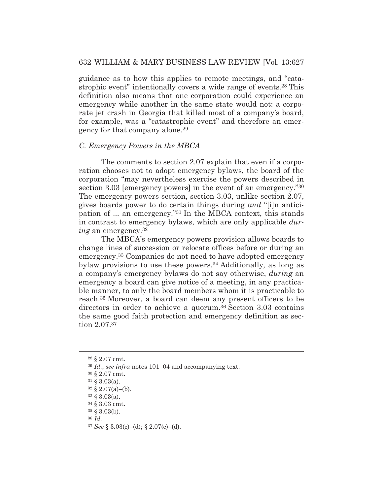guidance as to how this applies to remote meetings, and "catastrophic event" intentionally covers a wide range of events.28 This definition also means that one corporation could experience an emergency while another in the same state would not: a corporate jet crash in Georgia that killed most of a company's board, for example, was a "catastrophic event" and therefore an emergency for that company alone.29

# *C. Emergency Powers in the MBCA*

 The comments to section 2.07 explain that even if a corporation chooses not to adopt emergency bylaws, the board of the corporation "may nevertheless exercise the powers described in section 3.03 [emergency powers] in the event of an emergency."30 The emergency powers section, section 3.03, unlike section 2.07, gives boards power to do certain things during *and* "[i]n anticipation of ... an emergency."31 In the MBCA context, this stands in contrast to emergency bylaws, which are only applicable *during* an emergency.32

 The MBCA's emergency powers provision allows boards to change lines of succession or relocate offices before or during an emergency.33 Companies do not need to have adopted emergency bylaw provisions to use these powers.34 Additionally, as long as a company's emergency bylaws do not say otherwise, *during* an emergency a board can give notice of a meeting, in any practicable manner, to only the board members whom it is practicable to reach.35 Moreover, a board can deem any present officers to be directors in order to achieve a quorum.36 Section 3.03 contains the same good faith protection and emergency definition as section 2.07.37

<sup>36</sup> *Id.*

<sup>28 § 2.07</sup> cmt.

<sup>29</sup> *Id.*; *see infra* notes 101–04 and accompanying text.

<sup>30 § 2.07</sup> cmt.

 $31 \S 3.03(a)$ .

 $32 \S 2.07(a)$ –(b).

<sup>33 § 3.03(</sup>a).

<sup>34 § 3.03</sup> cmt.

<sup>35 § 3.03(</sup>b).

<sup>37</sup> *See* § 3.03(c)–(d); § 2.07(c)–(d).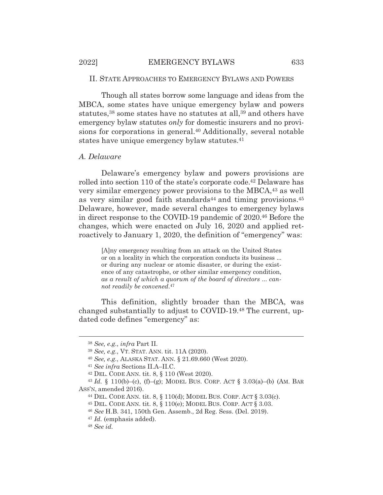# II. STATE APPROACHES TO EMERGENCY BYLAWS AND POWERS

 Though all states borrow some language and ideas from the MBCA, some states have unique emergency bylaw and powers statutes,<sup>38</sup> some states have no statutes at all,<sup>39</sup> and others have emergency bylaw statutes *only* for domestic insurers and no provisions for corporations in general.<sup>40</sup> Additionally, several notable states have unique emergency bylaw statutes.<sup>41</sup>

## *A. Delaware*

 Delaware's emergency bylaw and powers provisions are rolled into section 110 of the state's corporate code.42 Delaware has very similar emergency power provisions to the MBCA,43 as well as very similar good faith standards<sup>44</sup> and timing provisions.  $45$ Delaware, however, made several changes to emergency bylaws in direct response to the COVID-19 pandemic of 2020.46 Before the changes, which were enacted on July 16, 2020 and applied retroactively to January 1, 2020, the definition of "emergency" was:

[A]ny emergency resulting from an attack on the United States or on a locality in which the corporation conducts its business ... or during any nuclear or atomic disaster, or during the existence of any catastrophe, or other similar emergency condition, *as a result of which a quorum of the board of directors* ... *cannot readily be convened*.47

This definition, slightly broader than the MBCA, was changed substantially to adjust to COVID-19.48 The current, updated code defines "emergency" as:

<sup>38</sup> *See, e.g.*, *infra* Part II.

<sup>39</sup> *See, e.g.*, VT. STAT. ANN. tit. 11A (2020).

<sup>40</sup> *See, e.g.*, ALASKA STAT. ANN. § 21.69.660 (West 2020). 41 *See infra* Sections II.A–II.C. 42 DEL. CODE ANN. tit. 8, § 110 (West 2020).

<sup>43</sup> *Id.* § 110(b)–(c), (f)–(g); MODEL BUS. CORP. ACT § 3.03(a)–(b) (AM. BAR ASS'N, amended 2016).<br><sup>44</sup> DEL. CODE ANN. tit. 8, § 110(d); MODEL BUS. CORP. ACT § 3.03(c).

<sup>45</sup> DEL. CODE ANN. tit. 8, § 110(e); MODEL BUS. CORP. ACT § 3.03.

<sup>46</sup> *See* H.B. 341, 150th Gen. Assemb., 2d Reg. Sess. (Del. 2019).

<sup>47</sup> *Id.* (emphasis added).

<sup>48</sup> *See id.*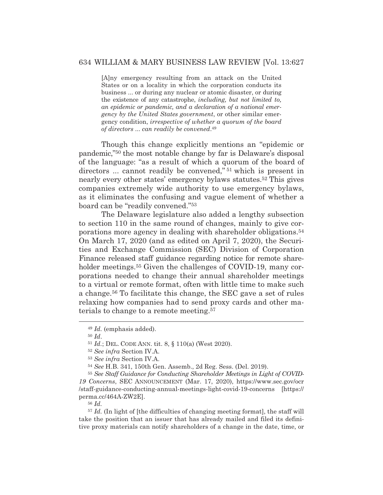[A]ny emergency resulting from an attack on the United States or on a locality in which the corporation conducts its business ... or during any nuclear or atomic disaster, or during the existence of any catastrophe, *including, but not limited to, an epidemic or pandemic, and a declaration of a national emergency by the United States government*, or other similar emergency condition, *irrespective of whether a quorum of the board of directors* ... *can readily be convened*.49

Though this change explicitly mentions an "epidemic or pandemic,"50 the most notable change by far is Delaware's disposal of the language: "as a result of which a quorum of the board of directors ... cannot readily be convened," 51 which is present in nearly every other states' emergency bylaws statutes.52 This gives companies extremely wide authority to use emergency bylaws, as it eliminates the confusing and vague element of whether a board can be "readily convened."53

 The Delaware legislature also added a lengthy subsection to section 110 in the same round of changes, mainly to give corporations more agency in dealing with shareholder obligations.54 On March 17, 2020 (and as edited on April 7, 2020), the Securities and Exchange Commission (SEC) Division of Corporation Finance released staff guidance regarding notice for remote shareholder meetings.<sup>55</sup> Given the challenges of COVID-19, many corporations needed to change their annual shareholder meetings to a virtual or remote format, often with little time to make such a change.56 To facilitate this change, the SEC gave a set of rules relaxing how companies had to send proxy cards and other materials to change to a remote meeting.57

<sup>55</sup> *See Staff Guidance for Conducting Shareholder Meetings in Light of COVID-19 Concerns*, SEC ANNOUNCEMENT (Mar. 17, 2020), https://www.sec.gov/ocr /staff-guidance-conducting-annual-meetings-light-covid-19-concerns [https:// perma.cc/464A-ZW2E].

<sup>56</sup> *Id.*

<sup>57</sup> *Id.* (In light of [the difficulties of changing meeting format], the staff will take the position that an issuer that has already mailed and filed its definitive proxy materials can notify shareholders of a change in the date, time, or

<sup>49</sup> *Id.* (emphasis added).

<sup>50</sup> *Id*.

<sup>51</sup> *Id.*; DEL. CODE ANN. tit. 8, § 110(a) (West 2020).

<sup>52</sup> *See infra* Section IV.A.

<sup>53</sup> *See infra* Section IV.A.

<sup>54</sup> *See* H.B. 341, 150th Gen. Assemb., 2d Reg. Sess. (Del. 2019).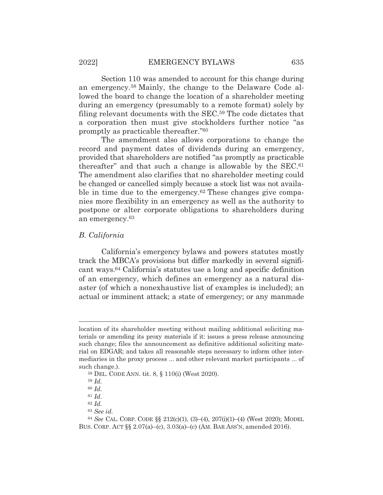Section 110 was amended to account for this change during an emergency.58 Mainly, the change to the Delaware Code allowed the board to change the location of a shareholder meeting during an emergency (presumably to a remote format) solely by filing relevant documents with the SEC.59 The code dictates that a corporation then must give stockholders further notice "as promptly as practicable thereafter."60

 The amendment also allows corporations to change the record and payment dates of dividends during an emergency, provided that shareholders are notified "as promptly as practicable thereafter" and that such a change is allowable by the SEC.61 The amendment also clarifies that no shareholder meeting could be changed or cancelled simply because a stock list was not available in time due to the emergency.<sup>62</sup> These changes give companies more flexibility in an emergency as well as the authority to postpone or alter corporate obligations to shareholders during an emergency.63

#### *B. California*

 California's emergency bylaws and powers statutes mostly track the MBCA's provisions but differ markedly in several significant ways.64 California's statutes use a long and specific definition of an emergency, which defines an emergency as a natural disaster (of which a nonexhaustive list of examples is included); an actual or imminent attack; a state of emergency; or any manmade

<sup>63</sup> *See id.*

location of its shareholder meeting without mailing additional soliciting materials or amending its proxy materials if it: issues a press release announcing such change; files the announcement as definitive additional soliciting material on EDGAR; and takes all reasonable steps necessary to inform other intermediaries in the proxy process ... and other relevant market participants ... of such change.).

<sup>58</sup> DEL. CODE ANN. tit. 8, § 110(i) (West 2020).

<sup>59</sup> *Id.*

<sup>60</sup> *Id.*

<sup>61</sup> *Id.*

<sup>62</sup> *Id.*

<sup>64</sup> *See* CAL. CORP. CODE §§ 212(c)(1), (3)–(4), 207(i)(1)–(4) (West 2020); MODEL BUS. CORP. ACT §§ 2.07(a)–(c), 3.03(a)–(c) (AM. BAR ASS'N, amended 2016).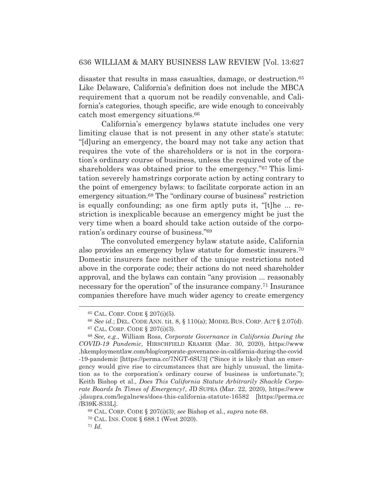disaster that results in mass casualties, damage, or destruction.<sup>65</sup> Like Delaware, California's definition does not include the MBCA requirement that a quorum not be readily convenable, and California's categories, though specific, are wide enough to conceivably catch most emergency situations.66

 California's emergency bylaws statute includes one very limiting clause that is not present in any other state's statute: "[d]uring an emergency, the board may not take any action that requires the vote of the shareholders or is not in the corporation's ordinary course of business, unless the required vote of the shareholders was obtained prior to the emergency."67 This limitation severely hamstrings corporate action by acting contrary to the point of emergency bylaws: to facilitate corporate action in an emergency situation.<sup>68</sup> The "ordinary course of business" restriction is equally confounding; as one firm aptly puts it, "[t]he ... restriction is inexplicable because an emergency might be just the very time when a board should take action outside of the corporation's ordinary course of business."69

 The convoluted emergency bylaw statute aside, California also provides an emergency bylaw statute for domestic insurers.70 Domestic insurers face neither of the unique restrictions noted above in the corporate code; their actions do not need shareholder approval, and the bylaws can contain "any provision ... reasonably necessary for the operation" of the insurance company.71 Insurance companies therefore have much wider agency to create emergency

<sup>65</sup> CAL. CORP. CODE § 207(i)(5).

<sup>66</sup> *See id.*; DEL. CODE ANN. tit. 8, § 110(a); MODEL BUS. CORP. ACT § 2.07(d).

<sup>67</sup> CAL. CORP. CODE § 207(i)(3).

<sup>68</sup> *See, e.g.*, William Ross, *Corporate Governance in California During the COVID-19 Pandemic*, HIRSCHFIELD KRAMER (Mar. 30, 2020), https://www .hkemploymentlaw.com/blog/corporate-governance-in-california-during-the-covid -19-pandemic [https://perma.cc/7NGT-6SU3] ("Since it is likely that an emergency would give rise to circumstances that are highly unusual, the limitation as to the corporation's ordinary course of business is unfortunate."); Keith Bishop et al., *Does This California Statute Arbitrarily Shackle Corporate Boards In Times of Emergency?*, JD SUPRA (Mar. 22, 2020), https://www .jdsupra.com/legalnews/does-this-california-statute-16582 [https://perma.cc /B39K-S33L].

<sup>69</sup> CAL. CORP. CODE § 207(i)(3); *see* Bishop et al., *supra* note 68.

<sup>70</sup> CAL. INS. CODE § 688.1 (West 2020).

<sup>71</sup> *Id.*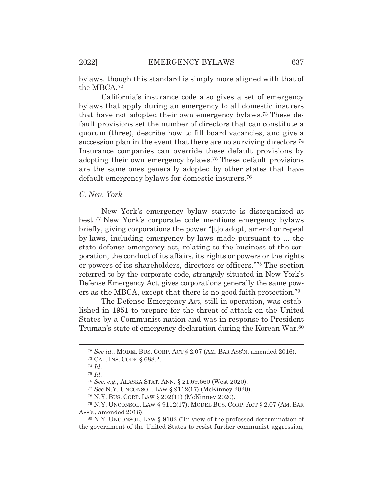bylaws, though this standard is simply more aligned with that of the MBCA.72

 California's insurance code also gives a set of emergency bylaws that apply during an emergency to all domestic insurers that have not adopted their own emergency bylaws.73 These default provisions set the number of directors that can constitute a quorum (three), describe how to fill board vacancies, and give a succession plan in the event that there are no surviving directors.<sup>74</sup> Insurance companies can override these default provisions by adopting their own emergency bylaws.75 These default provisions are the same ones generally adopted by other states that have default emergency bylaws for domestic insurers.76

# *C. New York*

 New York's emergency bylaw statute is disorganized at best.77 New York's corporate code mentions emergency bylaws briefly, giving corporations the power "[t]o adopt, amend or repeal by-laws, including emergency by-laws made pursuant to ... the state defense emergency act, relating to the business of the corporation, the conduct of its affairs, its rights or powers or the rights or powers of its shareholders, directors or officers."78 The section referred to by the corporate code, strangely situated in New York's Defense Emergency Act, gives corporations generally the same powers as the MBCA, except that there is no good faith protection.79

 The Defense Emergency Act, still in operation, was established in 1951 to prepare for the threat of attack on the United States by a Communist nation and was in response to President Truman's state of emergency declaration during the Korean War.80

<sup>77</sup> *See* N.Y. UNCONSOL. LAW § 9112(17) (McKinney 2020).

<sup>72</sup> *See id.*; MODEL BUS. CORP. ACT § 2.07 (AM. BAR ASS'N, amended 2016).

<sup>73</sup> CAL. INS. CODE § 688.2.

<sup>74</sup> *Id.*

<sup>75</sup> *Id.*

<sup>76</sup> *See, e.g.*, ALASKA STAT. ANN. § 21.69.660 (West 2020).

<sup>78</sup> N.Y. BUS. CORP. LAW § 202(11) (McKinney 2020).

<sup>79</sup> N.Y. UNCONSOL. LAW § 9112(17); MODEL BUS. CORP. ACT § 2.07 (AM. BAR ASS'N, amended 2016).

<sup>80</sup> N.Y. UNCONSOL. LAW § 9102 ("In view of the professed determination of the government of the United States to resist further communist aggression,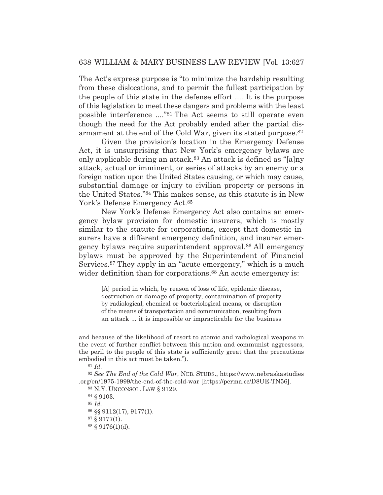The Act's express purpose is "to minimize the hardship resulting from these dislocations, and to permit the fullest participation by the people of this state in the defense effort .... It is the purpose of this legislation to meet these dangers and problems with the least possible interference ...."81 The Act seems to still operate even though the need for the Act probably ended after the partial disarmament at the end of the Cold War, given its stated purpose.82

 Given the provision's location in the Emergency Defense Act, it is unsurprising that New York's emergency bylaws are only applicable during an attack.83 An attack is defined as "[a]ny attack, actual or imminent, or series of attacks by an enemy or a foreign nation upon the United States causing, or which may cause, substantial damage or injury to civilian property or persons in the United States."84 This makes sense, as this statute is in New York's Defense Emergency Act.<sup>85</sup>

 New York's Defense Emergency Act also contains an emergency bylaw provision for domestic insurers, which is mostly similar to the statute for corporations, except that domestic insurers have a different emergency definition, and insurer emergency bylaws require superintendent approval.86 All emergency bylaws must be approved by the Superintendent of Financial Services.<sup>87</sup> They apply in an "acute emergency," which is a much wider definition than for corporations.<sup>88</sup> An acute emergency is:

[A] period in which, by reason of loss of life, epidemic disease, destruction or damage of property, contamination of property by radiological, chemical or bacteriological means, or disruption of the means of transportation and communication, resulting from an attack ... it is impossible or impracticable for the business

<sup>81</sup> *Id.*

84 § 9103.

<sup>85</sup> *Id.*

87 § 9177(1).

and because of the likelihood of resort to atomic and radiological weapons in the event of further conflict between this nation and communist aggressors, the peril to the people of this state is sufficiently great that the precautions embodied in this act must be taken.").

<sup>82</sup> *See The End of the Cold War*, NEB. STUDS., https://www.nebraskastudies .org/en/1975-1999/the-end-of-the-cold-war [https://perma.cc/D8UE-TN56].

<sup>83</sup> N.Y. UNCONSOL. LAW § 9129.

<sup>86 §§ 9112(17), 9177(1).</sup> 

<sup>88 § 9176(1)(</sup>d).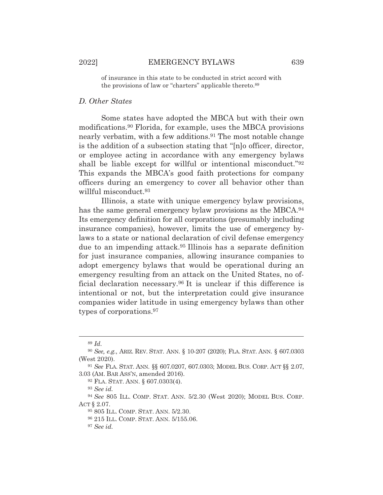of insurance in this state to be conducted in strict accord with the provisions of law or "charters" applicable thereto.89

#### *D. Other States*

 Some states have adopted the MBCA but with their own modifications.90 Florida, for example, uses the MBCA provisions nearly verbatim, with a few additions.<sup>91</sup> The most notable change is the addition of a subsection stating that "[n]o officer, director, or employee acting in accordance with any emergency bylaws shall be liable except for willful or intentional misconduct."92 This expands the MBCA's good faith protections for company officers during an emergency to cover all behavior other than willful misconduct.93

 Illinois, a state with unique emergency bylaw provisions, has the same general emergency bylaw provisions as the MBCA.<sup>94</sup> Its emergency definition for all corporations (presumably including insurance companies), however, limits the use of emergency bylaws to a state or national declaration of civil defense emergency due to an impending attack.95 Illinois has a separate definition for just insurance companies, allowing insurance companies to adopt emergency bylaws that would be operational during an emergency resulting from an attack on the United States, no official declaration necessary.96 It is unclear if this difference is intentional or not, but the interpretation could give insurance companies wider latitude in using emergency bylaws than other types of corporations.97

<sup>89</sup> *Id.*

<sup>90</sup> *See, e.g.*, ARIZ. REV. STAT. ANN. § 10-207 (2020); FLA. STAT. ANN. § 607.0303 (West 2020).

<sup>91</sup> *See* FLA. STAT. ANN. §§ 607.0207, 607.0303; MODEL BUS. CORP. ACT §§ 2.07, 3.03 (AM. BAR ASS'N, amended 2016).

<sup>92</sup> FLA. STAT. ANN. § 607.0303(4).

<sup>93</sup> *See id.*

<sup>94</sup> *See* 805 ILL. COMP. STAT. ANN. 5/2.30 (West 2020); MODEL BUS. CORP. ACT § 2.07.

<sup>95 805</sup> ILL. COMP. STAT. ANN. 5/2.30.

<sup>96 215</sup> ILL. COMP. STAT. ANN. 5/155.06.

<sup>97</sup> *See id.*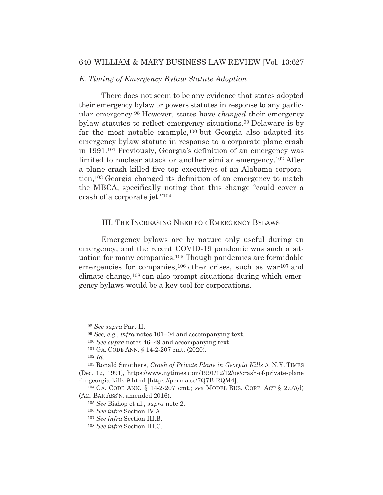# *E. Timing of Emergency Bylaw Statute Adoption*

 There does not seem to be any evidence that states adopted their emergency bylaw or powers statutes in response to any particular emergency.98 However, states have *changed* their emergency bylaw statutes to reflect emergency situations.99 Delaware is by far the most notable example,100 but Georgia also adapted its emergency bylaw statute in response to a corporate plane crash in 1991.101 Previously, Georgia's definition of an emergency was limited to nuclear attack or another similar emergency.102 After a plane crash killed five top executives of an Alabama corporation,103 Georgia changed its definition of an emergency to match the MBCA, specifically noting that this change "could cover a crash of a corporate jet."104

#### III. THE INCREASING NEED FOR EMERGENCY BYLAWS

 Emergency bylaws are by nature only useful during an emergency, and the recent COVID-19 pandemic was such a situation for many companies.105 Though pandemics are formidable emergencies for companies,<sup>106</sup> other crises, such as war<sup>107</sup> and climate change,108 can also prompt situations during which emergency bylaws would be a key tool for corporations.

<sup>100</sup> *See supra* notes 46–49 and accompanying text.

<sup>98</sup> *See supra* Part II.

<sup>99</sup> *See, e.g.*, *infra* notes 101–04 and accompanying text.

<sup>101</sup> GA. CODE ANN. § 14-2-207 cmt. (2020).

<sup>102</sup> *Id.*

<sup>103</sup> Ronald Smothers, *Crash of Private Plane in Georgia Kills 9*, N.Y. TIMES (Dec. 12, 1991), https://www.nytimes.com/1991/12/12/us/crash-of-private-plane -in-georgia-kills-9.html [https://perma.cc/7Q7B-RQM4].

<sup>104</sup> GA. CODE ANN. § 14-2-207 cmt.; *see* MODEL BUS. CORP. ACT § 2.07(d) (AM. BAR ASS'N, amended 2016).

<sup>105</sup> *See* Bishop et al., *supra* note 2.

<sup>106</sup> *See infra* Section IV.A.

<sup>107</sup> *See infra* Section III.B.

<sup>108</sup> *See infra* Section III.C.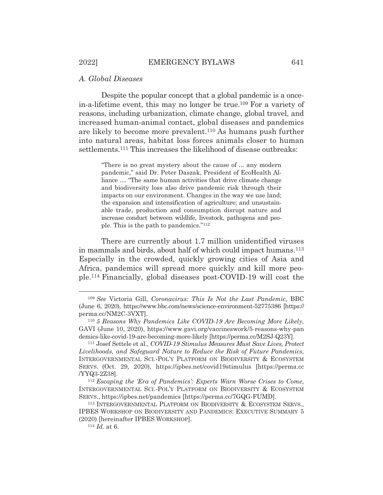#### *A. Global Diseases*

 Despite the popular concept that a global pandemic is a oncein-a-lifetime event, this may no longer be true.109 For a variety of reasons, including urbanization, climate change, global travel, and increased human-animal contact, global diseases and pandemics are likely to become more prevalent.110 As humans push further into natural areas, habitat loss forces animals closer to human settlements.111 This increases the likelihood of disease outbreaks:

> "There is no great mystery about the cause of ... any modern pandemic," said Dr. Peter Daszak, President of EcoHealth Alliance .... "The same human activities that drive climate change and biodiversity loss also drive pandemic risk through their impacts on our environment. Changes in the way we use land; the expansion and intensification of agriculture; and unsustainable trade, production and consumption disrupt nature and increase conduct between wildlife, livestock, pathogens and people. This is the path to pandemics."112

 There are currently about 1.7 million unidentified viruses in mammals and birds, about half of which could impact humans.113 Especially in the crowded, quickly growing cities of Asia and Africa, pandemics will spread more quickly and kill more people.114 Financially, global diseases post-COVID-19 will cost the

<sup>109</sup> *See* Victoria Gill, *Coronavirus: This Is Not the Last Pandemic*, BBC (June 6, 2020), https://www.bbc.com/news/science-environment-52775386 [https:// perma.cc/NM2C-3VXT].

<sup>110</sup> *5 Reasons Why Pandemics Like COVID-19 Are Becoming More Likely*, GAVI (June 10, 2020), https://www.gavi.org/vaccineswork/5-reasons-why-pan demics-like-covid-19-are-becoming-more-likely [https://perma.cc/M2SJ-Q23Y]. 111 Josef Settele et al., *COVID-19 Stimulus Measures Must Save Lives, Protect* 

*Livelihoods, and Safeguard Nature to Reduce the Risk of Future Pandemics*, INTERGOVERNMENTAL SCI.-POL'Y PLATFORM ON BIODIVERSITY & ECOSYSTEM SERVS. (Oct. 29, 2020), https://ipbes.net/covid19stimulus [https://perma.cc /YYQ3-2Z38]. 112 *Escaping the 'Era of Pandemics': Experts Warn Worse Crises to Come*,

INTERGOVERNMENTAL SCI.-POL'Y PLATFORM ON BIODIVERSITY & ECOSYSTEM SERVS., https://ipbes.net/pandemics [https://perma.cc/7GQG-FUMD].

<sup>113</sup> INTERGOVERNMENTAL PLATFORM ON BIODIVERSITY & ECOSYSTEM SERVS., IPBES WORKSHOP ON BIODIVERSITY AND PANDEMICS: EXECUTIVE SUMMARY 5 (2020) [hereinafter IPBES WORKSHOP].

<sup>114</sup> *Id.* at 6.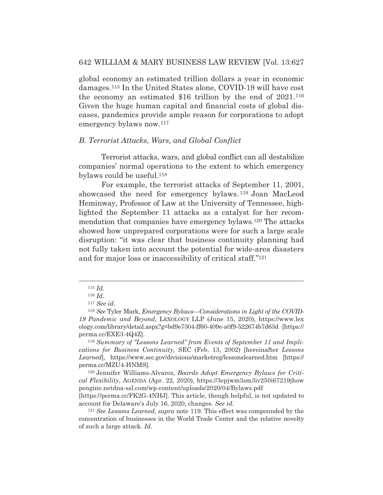global economy an estimated trillion dollars a year in economic damages.115 In the United States alone, COVID-19 will have cost the economy an estimated \$16 trillion by the end of 2021.116 Given the huge human capital and financial costs of global diseases, pandemics provide ample reason for corporations to adopt emergency bylaws now.117

#### *B. Terrorist Attacks, Wars, and Global Conflict*

 Terrorist attacks, wars, and global conflict can all destabilize companies' normal operations to the extent to which emergency bylaws could be useful.118

 For example, the terrorist attacks of September 11, 2001, showcased the need for emergency bylaws. 119 Joan MacLeod Heminway, Professor of Law at the University of Tennessee, highlighted the September 11 attacks as a catalyst for her recommendation that companies have emergency bylaws.120 The attacks showed how unprepared corporations were for such a large scale disruption: "it was clear that business continuity planning had not fully taken into account the potential for wide-area disasters and for major loss or inaccessibility of critical staff."121

<sup>115</sup> *Id.*

<sup>116</sup> *Id.*

<sup>117</sup> *See id.*

<sup>118</sup> *See* Tyler Mark, *Emergency Bylaws—Considerations in Light of the COVID-19 Pandemic and Beyond*, LEXOLOGY LLP (June 15, 2020), https://www.lex ology.com/library/detail.aspx?g=bd9e7304-ff60-409e-a0f9-522674b7d63d [https:// perma.cc/EXE3-4Q4Z].

<sup>119</sup> *Summary of "Lessons Learned" from Events of September 11 and Implications for Business Continuity*, SEC (Feb. 13, 2002) [hereinafter *Lessons Learned*], https://www.sec.gov/divisions/marketreg/lessonslearned.htm [https:// perma.cc/MZU4-HNMS].

<sup>120</sup> Jennifer Williams-Alvarez, *Boards Adopt Emergency Bylaws for Critical Flexibility*, AGENDA (Apr. 22, 2020), https://3epjwm3sm3iv250i67219jhow pengine.netdna-ssl.com/wp-content/uploads/2020/04/Bylaws.pdf

<sup>[</sup>https://perma.cc/FK2G-4NHJ]. This article, though helpful, is not updated to account for Delaware's July 16, 2020, changes. *See id.*

<sup>121</sup> *See Lessons Learned*, *supra* note 119. This effect was compounded by the concentration of businesses in the World Trade Center and the relative novelty of such a large attack. *Id.*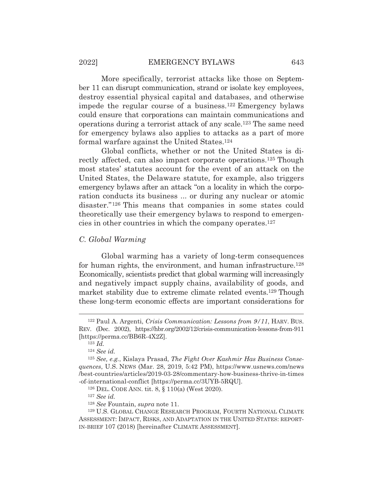More specifically, terrorist attacks like those on September 11 can disrupt communication, strand or isolate key employees, destroy essential physical capital and databases, and otherwise impede the regular course of a business.122 Emergency bylaws could ensure that corporations can maintain communications and operations during a terrorist attack of any scale.123 The same need for emergency bylaws also applies to attacks as a part of more formal warfare against the United States.124

 Global conflicts, whether or not the United States is directly affected, can also impact corporate operations.<sup>125</sup> Though most states' statutes account for the event of an attack on the United States, the Delaware statute, for example, also triggers emergency bylaws after an attack "on a locality in which the corporation conducts its business ... or during any nuclear or atomic disaster."126 This means that companies in some states could theoretically use their emergency bylaws to respond to emergencies in other countries in which the company operates.127

#### *C. Global Warming*

 Global warming has a variety of long-term consequences for human rights, the environment, and human infrastructure.<sup>128</sup> Economically, scientists predict that global warming will increasingly and negatively impact supply chains, availability of goods, and market stability due to extreme climate related events.129 Though these long-term economic effects are important considerations for

<sup>122</sup> Paul A. Argenti, *Crisis Communication: Lessons from 9/11*, HARV. BUS. REV. (Dec. 2002), https://hbr.org/2002/12/crisis-communication-lessons-from-911 [https://perma.cc/BB6R-4X2Z].

<sup>123</sup> *Id.*

<sup>124</sup> *See id.*

<sup>125</sup> *See, e.g.*, Kislaya Prasad, *The Fight Over Kashmir Has Business Consequences*, U.S. NEWS (Mar. 28, 2019, 5:42 PM), https://www.usnews.com/news /best-countries/articles/2019-03-28/commentary-how-business-thrive-in-times -of-international-conflict [https://perma.cc/3UYB-5RQU].

<sup>126</sup> DEL. CODE ANN. tit. 8, § 110(a) (West 2020).

<sup>127</sup> *See id.*

<sup>128</sup> *See* Fountain, *supra* note 11.

<sup>129</sup> U.S. GLOBAL CHANGE RESEARCH PROGRAM, FOURTH NATIONAL CLIMATE ASSESSMENT: IMPACT, RISKS, AND ADAPTATION IN THE UNITED STATES: REPORT-IN-BRIEF 107 (2018) [hereinafter CLIMATE ASSESSMENT].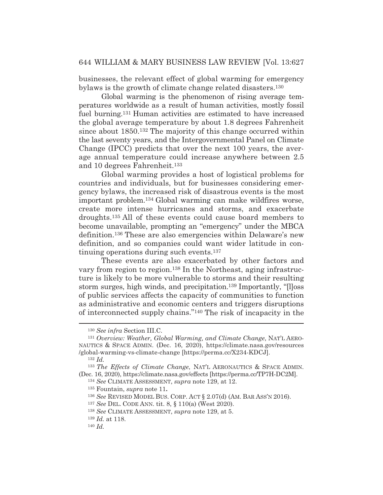businesses, the relevant effect of global warming for emergency bylaws is the growth of climate change related disasters.130

 Global warming is the phenomenon of rising average temperatures worldwide as a result of human activities, mostly fossil fuel burning.131 Human activities are estimated to have increased the global average temperature by about 1.8 degrees Fahrenheit since about 1850.132 The majority of this change occurred within the last seventy years, and the Intergovernmental Panel on Climate Change (IPCC) predicts that over the next 100 years, the average annual temperature could increase anywhere between 2.5 and 10 degrees Fahrenheit.133

 Global warming provides a host of logistical problems for countries and individuals, but for businesses considering emergency bylaws, the increased risk of disastrous events is the most important problem.134 Global warming can make wildfires worse, create more intense hurricanes and storms, and exacerbate droughts.135 All of these events could cause board members to become unavailable, prompting an "emergency" under the MBCA definition.136 These are also emergencies within Delaware's new definition, and so companies could want wider latitude in continuing operations during such events.<sup>137</sup>

 These events are also exacerbated by other factors and vary from region to region.138 In the Northeast, aging infrastructure is likely to be more vulnerable to storms and their resulting storm surges, high winds, and precipitation.139 Importantly, "[l]oss of public services affects the capacity of communities to function as administrative and economic centers and triggers disruptions of interconnected supply chains."140 The risk of incapacity in the

<sup>130</sup> *See infra* Section III.C.

<sup>131</sup> *Overview: Weather, Global Warming, and Climate Change*, NAT'L AERO-NAUTICS & SPACE ADMIN. (Dec. 16, 2020), https://climate.nasa.gov/resources /global-warming-vs-climate-change [https://perma.cc/X234-KDCJ].

<sup>132</sup> *Id.*

<sup>133</sup> *The Effects of Climate Change*, NAT'L AERONAUTICS & SPACE ADMIN. (Dec. 16, 2020), https://climate.nasa.gov/effects [https://perma.cc/TP7H-DC2M].

<sup>134</sup> *See* CLIMATE ASSESSMENT, *supra* note 129, at 12.

<sup>135</sup> Fountain, *supra* note 11**.**

<sup>136</sup> *See* REVISED MODEL BUS. CORP. ACT § 2.07(d) (AM. BAR ASS'N 2016).

<sup>137</sup> *See* DEL. CODE ANN. tit. 8, § 110(a) (West 2020).

<sup>138</sup> *See* CLIMATE ASSESSMENT, *supra* note 129, at 5.

<sup>139</sup> *Id.* at 118.

<sup>140</sup> *Id.*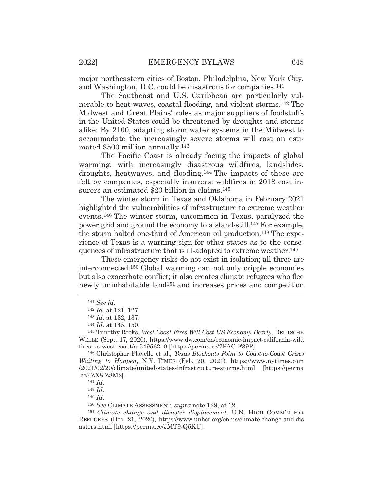major northeastern cities of Boston, Philadelphia, New York City, and Washington, D.C. could be disastrous for companies.141

 The Southeast and U.S. Caribbean are particularly vulnerable to heat waves, coastal flooding, and violent storms.142 The Midwest and Great Plains' roles as major suppliers of foodstuffs in the United States could be threatened by droughts and storms alike: By 2100, adapting storm water systems in the Midwest to accommodate the increasingly severe storms will cost an estimated \$500 million annually.143

 The Pacific Coast is already facing the impacts of global warming, with increasingly disastrous wildfires, landslides, droughts, heatwaves, and flooding.144 The impacts of these are felt by companies, especially insurers: wildfires in 2018 cost insurers an estimated \$20 billion in claims.145

 The winter storm in Texas and Oklahoma in February 2021 highlighted the vulnerabilities of infrastructure to extreme weather events.146 The winter storm, uncommon in Texas, paralyzed the power grid and ground the economy to a stand-still.147 For example, the storm halted one-third of American oil production.148 The experience of Texas is a warning sign for other states as to the consequences of infrastructure that is ill-adapted to extreme weather.149

 These emergency risks do not exist in isolation; all three are interconnected.150 Global warming can not only cripple economies but also exacerbate conflict; it also creates climate refugees who flee newly uninhabitable land151 and increases prices and competition

<sup>149</sup> *Id.*

<sup>150</sup> *See* CLIMATE ASSESSMENT, *supra* note 129, at 12.

<sup>141</sup> *See id.*

<sup>142</sup> *Id.* at 121, 127.

<sup>143</sup> *Id.* at 132, 137. 144 *Id.* at 145, 150.

<sup>145</sup> Timothy Rooks, *West Coast Fires Will Cost US Economy Dearly*, DEUTSCHE WELLE (Sept. 17, 2020), https://www.dw.com/en/economic-impact-california-wild fires-us-west-coast/a-54956210 [https://perma.cc/7PAC-F39P].

<sup>146</sup> Christopher Flavelle et al., *Texas Blackouts Point to Coast-to-Coast Crises Waiting to Happen*, N.Y. TIMES (Feb. 20, 2021), https://www.nytimes.com /2021/02/20/climate/united-states-infrastructure-storms.html [https://perma .cc/4ZX8-Z8M2].

<sup>147</sup> *Id.*

<sup>148</sup> *Id.*

<sup>151</sup> *Climate change and disaster displacement*, U.N. HIGH COMM'N FOR REFUGEES (Dec. 21, 2020), https://www.unhcr.org/en-us/climate-change-and-dis asters.html [https://perma.cc/JMT9-Q5KU].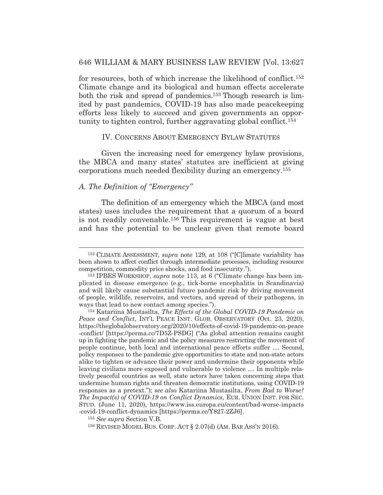for resources, both of which increase the likelihood of conflict.152 Climate change and its biological and human effects accelerate both the risk and spread of pandemics.153 Though research is limited by past pandemics, COVID-19 has also made peacekeeping efforts less likely to succeed and given governments an opportunity to tighten control, further aggravating global conflict.154

#### IV. CONCERNS ABOUT EMERGENCY BYLAW STATUTES

 Given the increasing need for emergency bylaw provisions, the MBCA and many states' statutes are inefficient at giving corporations much needed flexibility during an emergency.155

# *A. The Definition of "Emergency"*

 The definition of an emergency which the MBCA (and most states) uses includes the requirement that a quorum of a board is not readily convenable.156 This requirement is vague at best and has the potential to be unclear given that remote board

<sup>152</sup> CLIMATE ASSESSMENT, *supra* note 129, at 108 ("[C]limate variability has been shown to affect conflict through intermediate processes, including resource competition, commodity price shocks, and food insecurity.").

<sup>153</sup> IPBES WORKSHOP, *supra* note 113, at 6 ("Climate change has been implicated in disease emergence (e.g., tick-borne encephalitis in Scandinavia) and will likely cause substantial future pandemic risk by driving movement of people, wildlife, reservoirs, and vectors, and spread of their pathogens, in ways that lead to new contact among species.").

<sup>154</sup> Katariina Mustasilta, *The Effects of the Global COVID-19 Pandemic on Peace and Conflict*, INT'L PEACE INST. GLOB. OBSERVATORY (Oct. 23, 2020), https://theglobalobservatory.org/2020/10/effects-of-covid-19-pandemic-on-peace -conflict/ [https://perma.cc/7D5Z-PSDG] ("As global attention remains caught up in fighting the pandemic and the policy measures restricting the movement of people continue, both local and international peace efforts suffer .... Second, policy responses to the pandemic give opportunities to state and non-state actors alike to tighten or advance their power and undermine their opponents while leaving civilians more exposed and vulnerable to violence .... In multiple relatively peaceful countries as well, state actors have taken concerning steps that undermine human rights and threaten democratic institutions, using COVID-19 responses as a pretext."); *see also* Katariina Mustasilta, *From Bad to Worse? The Impact(s) of COVID-19 on Conflict Dynamics*, EUR. UNION INST. FOR SEC. STUD. (June 11, 2020), https://www.iss.europa.eu/content/bad-worse-impacts -covid-19-conflict-dynamics [https://perma.cc/Y827-2ZJ6].

<sup>155</sup> *See supra* Section V.B.

<sup>156</sup> REVISED MODEL BUS. CORP. ACT § 2.07(d) (AM. BAR ASS'N 2016).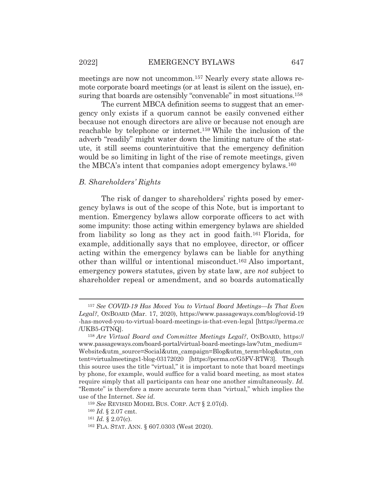meetings are now not uncommon.157 Nearly every state allows remote corporate board meetings (or at least is silent on the issue), ensuring that boards are ostensibly "convenable" in most situations.<sup>158</sup>

 The current MBCA definition seems to suggest that an emergency only exists if a quorum cannot be easily convened either because not enough directors are alive or because not enough are reachable by telephone or internet.159 While the inclusion of the adverb "readily" might water down the limiting nature of the statute, it still seems counterintuitive that the emergency definition would be so limiting in light of the rise of remote meetings, given the MBCA's intent that companies adopt emergency bylaws.160

#### *B. Shareholders' Rights*

 The risk of danger to shareholders' rights posed by emergency bylaws is out of the scope of this Note, but is important to mention. Emergency bylaws allow corporate officers to act with some impunity: those acting within emergency bylaws are shielded from liability so long as they act in good faith.161 Florida, for example, additionally says that no employee, director, or officer acting within the emergency bylaws can be liable for anything other than willful or intentional misconduct.162 Also important, emergency powers statutes, given by state law, are *not* subject to shareholder repeal or amendment, and so boards automatically

<sup>157</sup> *See COVID-19 Has Moved You to Virtual Board Meetings—Is That Even Legal?*, ONBOARD (Mar. 17, 2020), https://www.passageways.com/blog/covid-19 -has-moved-you-to-virtual-board-meetings-is-that-even-legal [https://perma.cc /UKB5-GTNQ].

<sup>158</sup> *Are Virtual Board and Committee Meetings Legal?*, ONBOARD, https:// www.passageways.com/board-portal/virtual-board-meetings-law?utm\_medium= Website&utm\_source=Social&utm\_campaign=Blog&utm\_term=blog&utm\_con tent=virtualmeetings1-blog-03172020 [https://perma.cc/G5FV-RTW3]. Though this source uses the title "virtual," it is important to note that board meetings by phone, for example, would suffice for a valid board meeting, as most states require simply that all participants can hear one another simultaneously. *Id.* "Remote" is therefore a more accurate term than "virtual," which implies the use of the Internet. *See id.* 

<sup>159</sup> *See* REVISED MODEL BUS. CORP. ACT § 2.07(d).

<sup>160</sup> *Id.* § 2.07 cmt.

<sup>161</sup> *Id.* § 2.07(c).

<sup>162</sup> FLA. STAT. ANN. § 607.0303 (West 2020).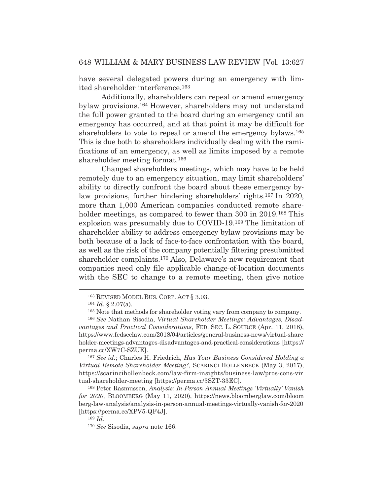have several delegated powers during an emergency with limited shareholder interference.163

 Additionally, shareholders can repeal or amend emergency bylaw provisions.164 However, shareholders may not understand the full power granted to the board during an emergency until an emergency has occurred, and at that point it may be difficult for shareholders to vote to repeal or amend the emergency bylaws.<sup>165</sup> This is due both to shareholders individually dealing with the ramifications of an emergency, as well as limits imposed by a remote shareholder meeting format.166

 Changed shareholders meetings, which may have to be held remotely due to an emergency situation, may limit shareholders' ability to directly confront the board about these emergency bylaw provisions, further hindering shareholders' rights.167 In 2020, more than 1,000 American companies conducted remote shareholder meetings, as compared to fewer than 300 in 2019.<sup>168</sup> This explosion was presumably due to COVID-19.169 The limitation of shareholder ability to address emergency bylaw provisions may be both because of a lack of face-to-face confrontation with the board, as well as the risk of the company potentially filtering presubmitted shareholder complaints.170 Also, Delaware's new requirement that companies need only file applicable change-of-location documents with the SEC to change to a remote meeting, then give notice

<sup>167</sup> *See id.*; Charles H. Friedrich, *Has Your Business Considered Holding a Virtual Remote Shareholder Meeting?*, SCARINCI HOLLENBECK (May 3, 2017), https://scarincihollenbeck.com/law-firm-insights/business-law/pros-cons-vir tual-shareholder-meeting [https://perma.cc/3SZT-33EC].

168 Peter Rasmussen, *Analysis: In-Person Annual Meetings 'Virtually' Vanish for 2020*, BLOOMBERG (May 11, 2020), https://news.bloomberglaw.com/bloom berg-law-analysis/analysis-in-person-annual-meetings-virtually-vanish-for-2020 [https://perma.cc/XPV5-QF4J].

<sup>163</sup> REVISED MODEL BUS. CORP. ACT § 3.03.

<sup>164</sup> *Id.* § 2.07(a).

<sup>165</sup> Note that methods for shareholder voting vary from company to company.

<sup>166</sup> *See* Nathan Sisodia, *Virtual Shareholder Meetings: Advantages, Disadvantages and Practical Considerations*, FED. SEC. L. SOURCE (Apr. 11, 2018), https://www.fedseclaw.com/2018/04/articles/general-business-news/virtual-share holder-meetings-advantages-disadvantages-and-practical-considerations [https:// perma.cc/XW7C-SZUE].

<sup>169</sup> *Id.*

<sup>170</sup> *See* Sisodia, *supra* note 166.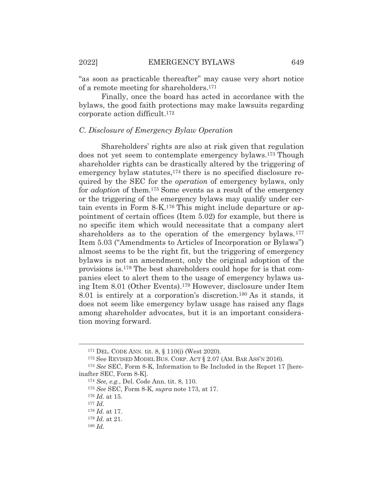"as soon as practicable thereafter" may cause very short notice of a remote meeting for shareholders.171

 Finally, once the board has acted in accordance with the bylaws, the good faith protections may make lawsuits regarding corporate action difficult.172

#### *C. Disclosure of Emergency Bylaw Operation*

 Shareholders' rights are also at risk given that regulation does not yet seem to contemplate emergency bylaws.173 Though shareholder rights can be drastically altered by the triggering of emergency bylaw statutes,<sup>174</sup> there is no specified disclosure required by the SEC for the *operation* of emergency bylaws, only for *adoption* of them.175 Some events as a result of the emergency or the triggering of the emergency bylaws may qualify under certain events in Form 8-K.176 This might include departure or appointment of certain offices (Item 5.02) for example, but there is no specific item which would necessitate that a company alert shareholders as to the operation of the emergency bylaws.<sup>177</sup> Item 5.03 ("Amendments to Articles of Incorporation or Bylaws") almost seems to be the right fit, but the triggering of emergency bylaws is not an amendment, only the original adoption of the provisions is.178 The best shareholders could hope for is that companies elect to alert them to the usage of emergency bylaws using Item 8.01 (Other Events).179 However, disclosure under Item 8.01 is entirely at a corporation's discretion.180 As it stands, it does not seem like emergency bylaw usage has raised any flags among shareholder advocates, but it is an important consideration moving forward.

<sup>171</sup> DEL. CODE ANN. tit. 8, § 110(i) (West 2020).

<sup>172</sup> See REVISED MODEL BUS. CORP. ACT § 2.07 (AM. BAR ASS'N 2016).

<sup>173</sup> *See* SEC, Form 8-K, Information to Be Included in the Report 17 [hereinafter SEC, Form 8-K].

<sup>174</sup> *See, e.g.*, Del. Code Ann. tit. 8, 110.

<sup>175</sup> *See* SEC, Form 8-K, *supra* note 173, at 17.

<sup>176</sup> *Id.* at 15.

<sup>177</sup> *Id.*

<sup>178</sup> *Id.* at 17.

<sup>179</sup> *Id.* at 21.

<sup>180</sup> *Id.*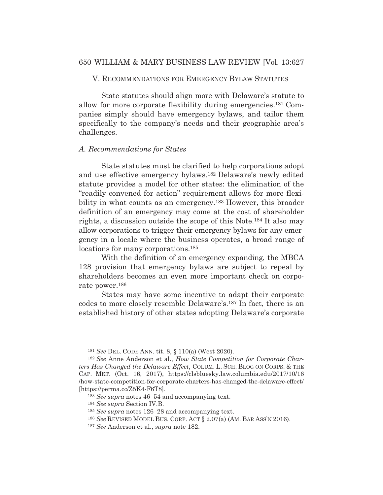# V. RECOMMENDATIONS FOR EMERGENCY BYLAW STATUTES

 State statutes should align more with Delaware's statute to allow for more corporate flexibility during emergencies.181 Companies simply should have emergency bylaws, and tailor them specifically to the company's needs and their geographic area's challenges.

#### *A. Recommendations for States*

 State statutes must be clarified to help corporations adopt and use effective emergency bylaws.182 Delaware's newly edited statute provides a model for other states: the elimination of the "readily convened for action" requirement allows for more flexibility in what counts as an emergency.<sup>183</sup> However, this broader definition of an emergency may come at the cost of shareholder rights, a discussion outside the scope of this Note.184 It also may allow corporations to trigger their emergency bylaws for any emergency in a locale where the business operates, a broad range of locations for many corporations.<sup>185</sup>

 With the definition of an emergency expanding, the MBCA 128 provision that emergency bylaws are subject to repeal by shareholders becomes an even more important check on corporate power.186

 States may have some incentive to adapt their corporate codes to more closely resemble Delaware's.187 In fact, there is an established history of other states adopting Delaware's corporate

<sup>181</sup> *See* DEL. CODE ANN. tit. 8, § 110(a) (West 2020).

<sup>182</sup> *See* Anne Anderson et al., *How State Competition for Corporate Charters Has Changed the Delaware Effect*, COLUM. L. SCH. BLOG ON CORPS. & THE CAP. MKT. (Oct. 16, 2017), https://clsbluesky.law.columbia.edu/2017/10/16 /how-state-competition-for-corporate-charters-has-changed-the-delaware-effect/ [https://perma.cc/Z5K4-F6T8].

<sup>183</sup> *See supra* notes 46–54 and accompanying text.

<sup>184</sup> *See supra* Section IV.B.

<sup>185</sup> *See supra* notes 126–28 and accompanying text.

<sup>186</sup> *See* REVISED MODEL BUS. CORP. ACT § 2.07(a) (AM. BAR ASS'N 2016).

<sup>187</sup> *See* Anderson et al., *supra* note 182.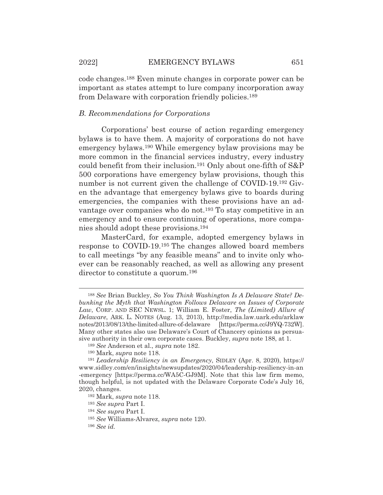code changes.188 Even minute changes in corporate power can be important as states attempt to lure company incorporation away from Delaware with corporation friendly policies.189

#### *B. Recommendations for Corporations*

 Corporations' best course of action regarding emergency bylaws is to have them. A majority of corporations do not have emergency bylaws.190 While emergency bylaw provisions may be more common in the financial services industry, every industry could benefit from their inclusion.191 Only about one-fifth of S&P 500 corporations have emergency bylaw provisions, though this number is not current given the challenge of COVID-19.<sup>192</sup> Given the advantage that emergency bylaws give to boards during emergencies, the companies with these provisions have an advantage over companies who do not.193 To stay competitive in an emergency and to ensure continuing of operations, more companies should adopt these provisions.194

 MasterCard, for example, adopted emergency bylaws in response to COVID-19.195 The changes allowed board members to call meetings "by any feasible means" and to invite only whoever can be reasonably reached, as well as allowing any present director to constitute a quorum.196

<sup>188</sup> *See* Brian Buckley, *So You Think Washington Is A Delaware State? Debunking the Myth that Washington Follows Delaware on Issues of Corporate Law*, CORP. AND SEC NEWSL. 1; William E. Foster, *The (Limited) Allure of Delaware*, ARK. L. NOTES (Aug. 13, 2013), http://media.law.uark.edu/arklaw notes/2013/08/13/the-limited-allure-of-delaware [https://perma.cc/J9YQ-732W]. Many other states also use Delaware's Court of Chancery opinions as persuasive authority in their own corporate cases. Buckley, *supra* note 188, at 1.

<sup>189</sup> *See* Anderson et al., *supra* note 182.

<sup>190</sup> Mark, *supra* note 118.

<sup>191</sup> *Leadership Resiliency in an Emergency*, SIDLEY (Apr. 8, 2020), https:// www.sidley.com/en/insights/newsupdates/2020/04/leadership-resiliency-in-an -emergency [https://perma.cc/WA5C-GJ9M]. Note that this law firm memo, though helpful, is not updated with the Delaware Corporate Code's July 16, 2020, changes.

<sup>192</sup> Mark, *supra* note 118.

<sup>193</sup> *See supra* Part I.

<sup>194</sup> *See supra* Part I.

<sup>195</sup> *See* Williams-Alvarez, *supra* note 120.

<sup>196</sup> *See id.*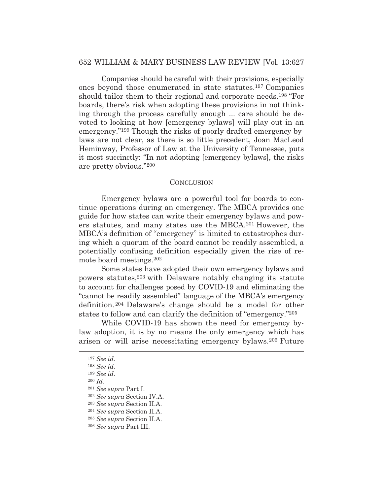Companies should be careful with their provisions, especially ones beyond those enumerated in state statutes.197 Companies should tailor them to their regional and corporate needs.198 "For boards, there's risk when adopting these provisions in not thinking through the process carefully enough ... care should be devoted to looking at how [emergency bylaws] will play out in an emergency."199 Though the risks of poorly drafted emergency bylaws are not clear, as there is so little precedent, Joan MacLeod Heminway, Professor of Law at the University of Tennessee, puts it most succinctly: "In not adopting [emergency bylaws], the risks are pretty obvious."200

#### **CONCLUSION**

 Emergency bylaws are a powerful tool for boards to continue operations during an emergency. The MBCA provides one guide for how states can write their emergency bylaws and powers statutes, and many states use the MBCA.201 However, the MBCA's definition of "emergency" is limited to catastrophes during which a quorum of the board cannot be readily assembled, a potentially confusing definition especially given the rise of remote board meetings.202

 Some states have adopted their own emergency bylaws and powers statutes,203 with Delaware notably changing its statute to account for challenges posed by COVID-19 and eliminating the "cannot be readily assembled" language of the MBCA's emergency definition. 204 Delaware's change should be a model for other states to follow and can clarify the definition of "emergency."205

 While COVID-19 has shown the need for emergency bylaw adoption, it is by no means the only emergency which has arisen or will arise necessitating emergency bylaws.206 Future

<sup>200</sup> *Id.*

<sup>197</sup> *See id.* 

<sup>198</sup> *See id.* 

<sup>199</sup> *See id.* 

<sup>201</sup> *See supra* Part I.

<sup>202</sup> *See supra* Section IV.A.

<sup>203</sup> *See supra* Section II.A.

<sup>204</sup> *See supra* Section II.A.

<sup>205</sup> *See supra* Section II.A.

<sup>206</sup> *See supra* Part III.